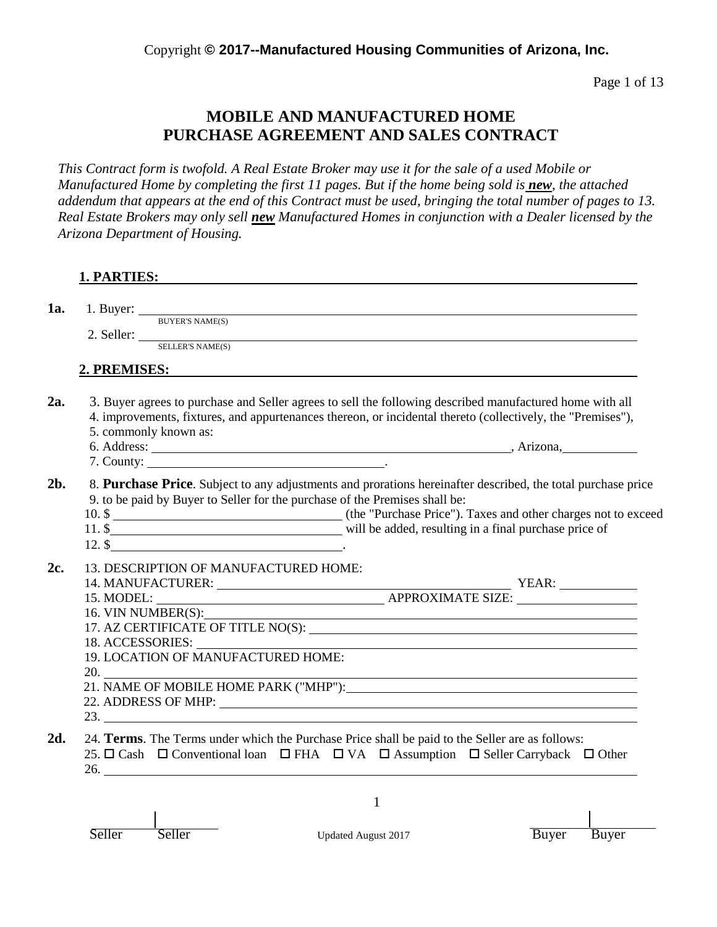Page 1 of 13

# **MOBILE AND MANUFACTURED HOME PURCHASE AGREEMENT AND SALES CONTRACT**

*This Contract form is twofold. A Real Estate Broker may use it for the sale of a used Mobile or Manufactured Home by completing the first 11 pages. But if the home being sold is new, the attached addendum that appears at the end of this Contract must be used, bringing the total number of pages to 13. Real Estate Brokers may only sell new Manufactured Homes in conjunction with a Dealer licensed by the Arizona Department of Housing.*

|--|

**1a.** 1. Buyer:

BUYER'S NAME(S) 2. Seller:

SELLER'S NAME(S)

# **2. PREMISES:**

**2a.** 3. Buyer agrees to purchase and Seller agrees to sell the following described manufactured home with all 4. improvements, fixtures, and appurtenances thereon, or incidental thereto (collectively, the "Premises"), 5. commonly known as:

- 6. Address: (2008). Anizona, Arizona, Anizona, Anizona, Anizona, Anizona, Anizona, Anizona, Anizona, Anizona, Anizona, Anizona, Anizona, Anizona, Anizona, Anizona, Anizona, Anizona, Anizona, Anizona, Anizona, Anizona, Aniz
- 7. County: .

**2b.** 8. **Purchase Price**. Subject to any adjustments and prorations hereinafter described, the total purchase price 9. to be paid by Buyer to Seller for the purchase of the Premises shall be:

- 10. \$ 11. \$
	- 12. \$ .
- **2c.** 13. DESCRIPTION OF MANUFACTURED HOME:
	- 14. MANUFACTURER: YEAR:
	- 15. MODEL: APPROXIMATE SIZE:

16. VIN NUMBER(S):

17. AZ CERTIFICATE OF TITLE NO(S):

- 18. ACCESSORIES:
- 19. LOCATION OF MANUFACTURED HOME:
- 20.
- 21. NAME OF MOBILE HOME PARK ("MHP"):
- 22. ADDRESS OF MHP:
- 23.
- **2d.** 24. **Terms**. The Terms under which the Purchase Price shall be paid to the Seller are as follows: 25.  $\Box$  Cash  $\Box$  Conventional loan  $\Box$  FHA  $\Box$  VA  $\Box$  Assumption  $\Box$  Seller Carryback  $\Box$  Other 26.

Seller Seller Updated August 2017 Buyer Buyer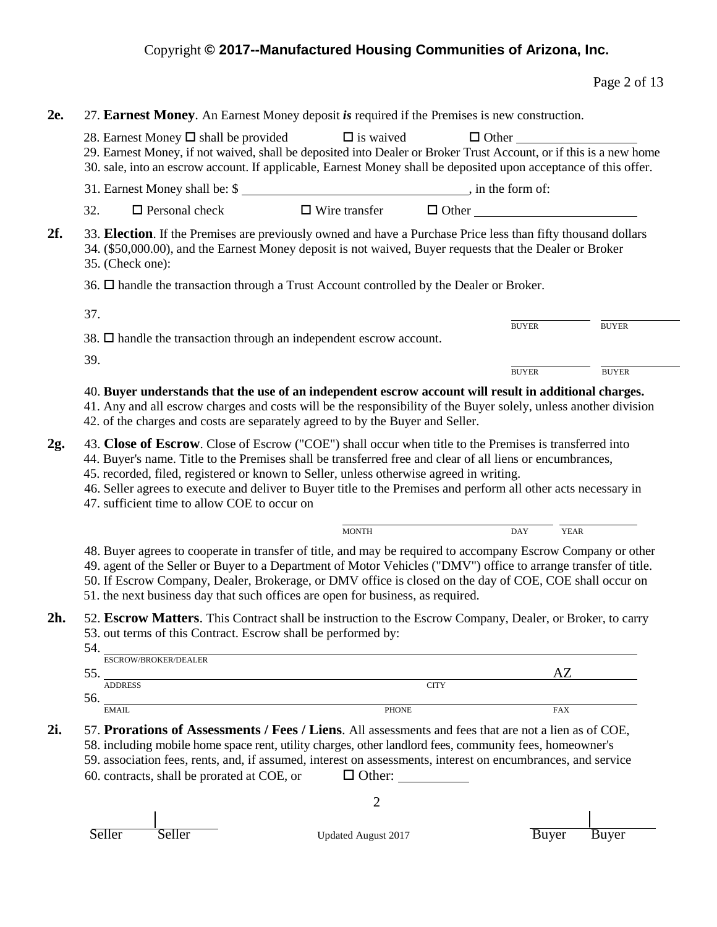| <b>2e.</b>        | 27. Earnest Money. An Earnest Money deposit is required if the Premises is new construction. | 28. Earnest Money $\square$ shall be provided                                                                                                                                                                                                                                                                                                                                                                                                                                      | $\Box$ is waived                                                                                                                      |                                              | $\Box$ Other |              |
|-------------------|----------------------------------------------------------------------------------------------|------------------------------------------------------------------------------------------------------------------------------------------------------------------------------------------------------------------------------------------------------------------------------------------------------------------------------------------------------------------------------------------------------------------------------------------------------------------------------------|---------------------------------------------------------------------------------------------------------------------------------------|----------------------------------------------|--------------|--------------|
|                   |                                                                                              | 29. Earnest Money, if not waived, shall be deposited into Dealer or Broker Trust Account, or if this is a new home<br>30. sale, into an escrow account. If applicable, Earnest Money shall be deposited upon acceptance of this offer.                                                                                                                                                                                                                                             |                                                                                                                                       |                                              |              |              |
|                   |                                                                                              | 31. Earnest Money shall be: \$                                                                                                                                                                                                                                                                                                                                                                                                                                                     |                                                                                                                                       |                                              |              |              |
|                   | 32.                                                                                          | $\Box$ Personal check                                                                                                                                                                                                                                                                                                                                                                                                                                                              | $\Box$ Wire transfer                                                                                                                  |                                              |              | $\Box$ Other |
| 2f.               |                                                                                              | 33. Election. If the Premises are previously owned and have a Purchase Price less than fifty thousand dollars<br>34. (\$50,000.00), and the Earnest Money deposit is not waived, Buyer requests that the Dealer or Broker<br>35. (Check one):                                                                                                                                                                                                                                      |                                                                                                                                       |                                              |              |              |
|                   |                                                                                              | 36. $\Box$ handle the transaction through a Trust Account controlled by the Dealer or Broker.                                                                                                                                                                                                                                                                                                                                                                                      |                                                                                                                                       |                                              |              |              |
|                   | 37.                                                                                          |                                                                                                                                                                                                                                                                                                                                                                                                                                                                                    |                                                                                                                                       |                                              |              |              |
|                   |                                                                                              | 38. $\Box$ handle the transaction through an independent escrow account.                                                                                                                                                                                                                                                                                                                                                                                                           |                                                                                                                                       |                                              | <b>BUYER</b> | <b>BUYER</b> |
|                   | 39.                                                                                          |                                                                                                                                                                                                                                                                                                                                                                                                                                                                                    |                                                                                                                                       |                                              |              |              |
|                   |                                                                                              |                                                                                                                                                                                                                                                                                                                                                                                                                                                                                    |                                                                                                                                       |                                              | <b>BUYER</b> | <b>BUYER</b> |
|                   |                                                                                              | 41. Any and all escrow charges and costs will be the responsibility of the Buyer solely, unless another division<br>42. of the charges and costs are separately agreed to by the Buyer and Seller.                                                                                                                                                                                                                                                                                 |                                                                                                                                       |                                              |              |              |
|                   |                                                                                              |                                                                                                                                                                                                                                                                                                                                                                                                                                                                                    |                                                                                                                                       |                                              |              |              |
|                   |                                                                                              | 43. Close of Escrow. Close of Escrow ("COE") shall occur when title to the Premises is transferred into<br>44. Buyer's name. Title to the Premises shall be transferred free and clear of all liens or encumbrances,<br>45. recorded, filed, registered or known to Seller, unless otherwise agreed in writing.<br>46. Seller agrees to execute and deliver to Buyer title to the Premises and perform all other acts necessary in<br>47. sufficient time to allow COE to occur on |                                                                                                                                       |                                              |              |              |
|                   |                                                                                              |                                                                                                                                                                                                                                                                                                                                                                                                                                                                                    | <b>MONTH</b>                                                                                                                          |                                              | <b>DAY</b>   | <b>YEAR</b>  |
|                   |                                                                                              | 48. Buyer agrees to cooperate in transfer of title, and may be required to accompany Escrow Company or other<br>49. agent of the Seller or Buyer to a Department of Motor Vehicles ("DMV") office to arrange transfer of title.<br>50. If Escrow Company, Dealer, Brokerage, or DMV office is closed on the day of COE, COE shall occur on<br>51. the next business day that such offices are open for business, as required.                                                      |                                                                                                                                       |                                              |              |              |
|                   |                                                                                              | 52. Escrow Matters. This Contract shall be instruction to the Escrow Company, Dealer, or Broker, to carry<br>53. out terms of this Contract. Escrow shall be performed by:                                                                                                                                                                                                                                                                                                         |                                                                                                                                       |                                              |              |              |
|                   | 54.                                                                                          | ESCROW/BROKER/DEALER                                                                                                                                                                                                                                                                                                                                                                                                                                                               |                                                                                                                                       |                                              |              |              |
|                   |                                                                                              | 55.<br><b>ADDRESS</b>                                                                                                                                                                                                                                                                                                                                                                                                                                                              |                                                                                                                                       | <b>CITY</b>                                  |              | AZ           |
|                   | 56.<br><b>EMAIL</b>                                                                          |                                                                                                                                                                                                                                                                                                                                                                                                                                                                                    | <u> 1980 - Johann Barn, mars ann an t-Amhainn an t-Amhainn an t-Amhainn an t-Amhainn an t-Amhainn an t-Amhainn an</u><br><b>PHONE</b> |                                              |              | <b>FAX</b>   |
| 2g.<br>2h.<br>2i. |                                                                                              | 57. Prorations of Assessments / Fees / Liens. All assessments and fees that are not a lien as of COE,<br>58. including mobile home space rent, utility charges, other landlord fees, community fees, homeowner's<br>59. association fees, rents, and, if assumed, interest on assessments, interest on encumbrances, and service<br>60. contracts, shall be prorated at COE, or                                                                                                    |                                                                                                                                       | $\Box$ Other: $\_\_\_\_\_\_\_\_\_\_\_\_\_\_$ |              |              |
|                   |                                                                                              |                                                                                                                                                                                                                                                                                                                                                                                                                                                                                    | 2                                                                                                                                     |                                              |              |              |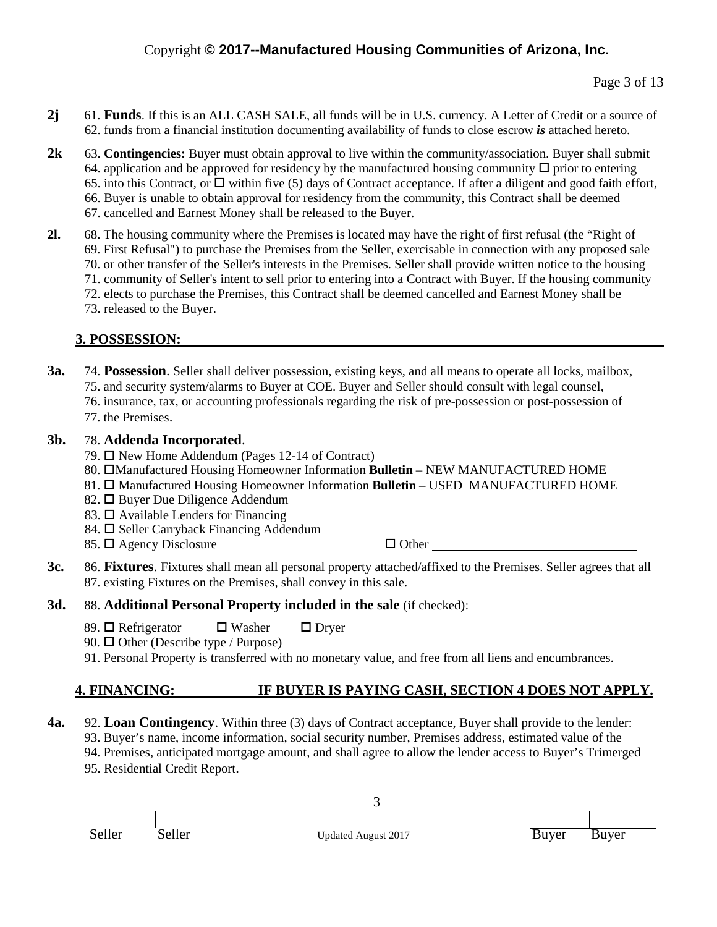- **2j** 61. **Funds**. If this is an ALL CASH SALE, all funds will be in U.S. currency. A Letter of Credit or a source of 62. funds from a financial institution documenting availability of funds to close escrow *is* attached hereto.
- **2k** 63. **Contingencies:** Buyer must obtain approval to live within the community/association. Buyer shall submit 64. application and be approved for residency by the manufactured housing community  $\Box$  prior to entering 65. into this Contract, or  $\Box$  within five (5) days of Contract acceptance. If after a diligent and good faith effort, 66. Buyer is unable to obtain approval for residency from the community, this Contract shall be deemed 67. cancelled and Earnest Money shall be released to the Buyer.
- **2l.** 68. The housing community where the Premises is located may have the right of first refusal (the "Right of 69. First Refusal") to purchase the Premises from the Seller, exercisable in connection with any proposed sale 70. or other transfer of the Seller's interests in the Premises. Seller shall provide written notice to the housing 71. community of Seller's intent to sell prior to entering into a Contract with Buyer. If the housing community 72. elects to purchase the Premises, this Contract shall be deemed cancelled and Earnest Money shall be 73. released to the Buyer.

### **3. POSSESSION:**

- **3a.** 74. **Possession**. Seller shall deliver possession, existing keys, and all means to operate all locks, mailbox, 75. and security system/alarms to Buyer at COE. Buyer and Seller should consult with legal counsel, 76. insurance, tax, or accounting professionals regarding the risk of pre-possession or post-possession of
	- 77. the Premises.

### **3b.** 78. **Addenda Incorporated**.

- 79.  $\Box$  New Home Addendum (Pages 12-14 of Contract)
- 80. **CManufactured Housing Homeowner Information Bulletin** NEW MANUFACTURED HOME
- 81.  $\Box$  Manufactured Housing Homeowner Information **Bulletin** USED MANUFACTURED HOME
- 82. □ Buyer Due Diligence Addendum
- 83.  $\Box$  Available Lenders for Financing
- 84.  $\Box$  Seller Carryback Financing Addendum
- 85.  $\Box$  Agency Disclosure  $\Box$  Other

**3c.** 86. **Fixtures**. Fixtures shall mean all personal property attached/affixed to the Premises. Seller agrees that all 87. existing Fixtures on the Premises, shall convey in this sale.

### **3d.** 88. **Additional Personal Property included in the sale** (if checked):

- 89.  $\Box$  Refrigerator  $\Box$  Washer  $\Box$  Dryer
- 90.  $\Box$  Other (Describe type / Purpose)
- 91. Personal Property is transferred with no monetary value, and free from all liens and encumbrances.

# **4. FINANCING: IF BUYER IS PAYING CASH, SECTION 4 DOES NOT APPLY.**

- **4a.** 92. **Loan Contingency**. Within three (3) days of Contract acceptance, Buyer shall provide to the lender:
	- 93. Buyer's name, income information, social security number, Premises address, estimated value of the
	- 94. Premises, anticipated mortgage amount, and shall agree to allow the lender access to Buyer's Trimerged

3

95. Residential Credit Report.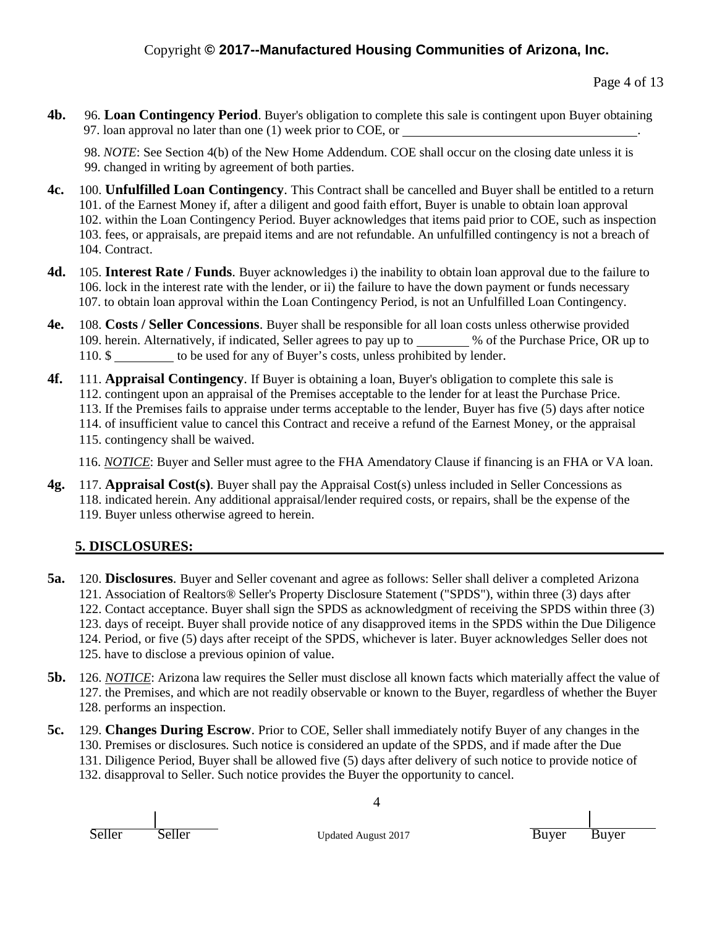Page 4 of 13

**4b.** 96. **Loan Contingency Period**. Buyer's obligation to complete this sale is contingent upon Buyer obtaining 97. loan approval no later than one (1) week prior to COE, or .

98. *NOTE*: See Section 4(b) of the New Home Addendum. COE shall occur on the closing date unless it is 99. changed in writing by agreement of both parties.

- **4c.** 100. **Unfulfilled Loan Contingency**. This Contract shall be cancelled and Buyer shall be entitled to a return 101. of the Earnest Money if, after a diligent and good faith effort, Buyer is unable to obtain loan approval 102. within the Loan Contingency Period. Buyer acknowledges that items paid prior to COE, such as inspection 103. fees, or appraisals, are prepaid items and are not refundable. An unfulfilled contingency is not a breach of 104. Contract.
- **4d.** 105. **Interest Rate / Funds**. Buyer acknowledges i) the inability to obtain loan approval due to the failure to 106. lock in the interest rate with the lender, or ii) the failure to have the down payment or funds necessary 107. to obtain loan approval within the Loan Contingency Period, is not an Unfulfilled Loan Contingency.
- **4e.** 108. **Costs / Seller Concessions**. Buyer shall be responsible for all loan costs unless otherwise provided 109. herein. Alternatively, if indicated, Seller agrees to pay up to \_\_\_\_\_\_\_ % of the Purchase Price, OR up to 110. \$ to be used for any of Buyer's costs, unless prohibited by lender.
- **4f.** 111. **Appraisal Contingency**. If Buyer is obtaining a loan, Buyer's obligation to complete this sale is 112. contingent upon an appraisal of the Premises acceptable to the lender for at least the Purchase Price. 113. If the Premises fails to appraise under terms acceptable to the lender, Buyer has five (5) days after notice 114. of insufficient value to cancel this Contract and receive a refund of the Earnest Money, or the appraisal 115. contingency shall be waived.
	- 116. *NOTICE*: Buyer and Seller must agree to the FHA Amendatory Clause if financing is an FHA or VA loan.
- **4g.** 117. **Appraisal Cost(s)**. Buyer shall pay the Appraisal Cost(s) unless included in Seller Concessions as 118. indicated herein. Any additional appraisal/lender required costs, or repairs, shall be the expense of the 119. Buyer unless otherwise agreed to herein.

# **5. DISCLOSURES:**

- **5a.** 120. **Disclosures**. Buyer and Seller covenant and agree as follows: Seller shall deliver a completed Arizona 121. Association of Realtors® Seller's Property Disclosure Statement ("SPDS"), within three (3) days after 122. Contact acceptance. Buyer shall sign the SPDS as acknowledgment of receiving the SPDS within three (3) 123. days of receipt. Buyer shall provide notice of any disapproved items in the SPDS within the Due Diligence 124. Period, or five (5) days after receipt of the SPDS, whichever is later. Buyer acknowledges Seller does not 125. have to disclose a previous opinion of value.
- **5b.** 126. *NOTICE*: Arizona law requires the Seller must disclose all known facts which materially affect the value of 127. the Premises, and which are not readily observable or known to the Buyer, regardless of whether the Buyer 128. performs an inspection.
- **5c.** 129. **Changes During Escrow**. Prior to COE, Seller shall immediately notify Buyer of any changes in the 130. Premises or disclosures. Such notice is considered an update of the SPDS, and if made after the Due 131. Diligence Period, Buyer shall be allowed five (5) days after delivery of such notice to provide notice of 132. disapproval to Seller. Such notice provides the Buyer the opportunity to cancel.

Seller Seller Updated August 2017 Buyer Buyer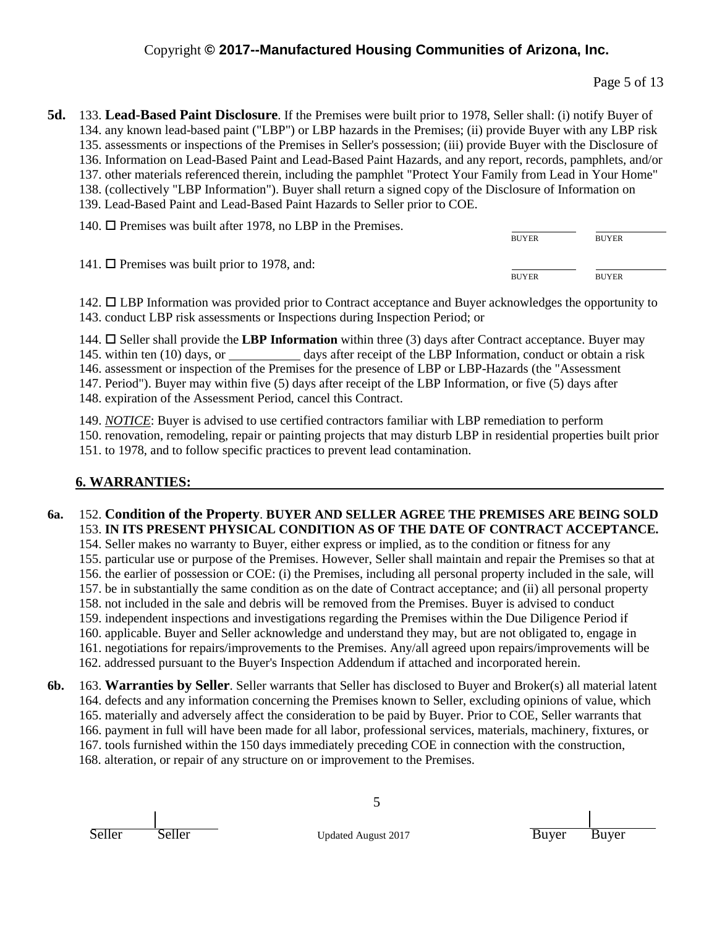Page 5 of 13

**5d.** 133. **Lead-Based Paint Disclosure**. If the Premises were built prior to 1978, Seller shall: (i) notify Buyer of 134. any known lead-based paint ("LBP") or LBP hazards in the Premises; (ii) provide Buyer with any LBP risk 135. assessments or inspections of the Premises in Seller's possession; (iii) provide Buyer with the Disclosure of 136. Information on Lead-Based Paint and Lead-Based Paint Hazards, and any report, records, pamphlets, and/or 137. other materials referenced therein, including the pamphlet "Protect Your Family from Lead in Your Home" 138. (collectively "LBP Information"). Buyer shall return a signed copy of the Disclosure of Information on 139. Lead-Based Paint and Lead-Based Paint Hazards to Seller prior to COE.

| 140. $\Box$ Premises was built after 1978, no LBP in the Premises. |              |              |
|--------------------------------------------------------------------|--------------|--------------|
|                                                                    | <b>BUYER</b> | <b>BUYER</b> |
| 141. $\Box$ Premises was built prior to 1978, and:                 |              |              |
|                                                                    | <b>BUYER</b> | <b>BUYER</b> |

142. LBP Information was provided prior to Contract acceptance and Buyer acknowledges the opportunity to 143. conduct LBP risk assessments or Inspections during Inspection Period; or

144.  $\Box$  Seller shall provide the **LBP Information** within three (3) days after Contract acceptance. Buyer may 145. within ten (10) days, or days after receipt of the LBP Information, conduct or obtain a risk 146. assessment or inspection of the Premises for the presence of LBP or LBP-Hazards (the "Assessment 147. Period"). Buyer may within five (5) days after receipt of the LBP Information, or five (5) days after 148. expiration of the Assessment Period, cancel this Contract.

149. *NOTICE*: Buyer is advised to use certified contractors familiar with LBP remediation to perform 150. renovation, remodeling, repair or painting projects that may disturb LBP in residential properties built prior 151. to 1978, and to follow specific practices to prevent lead contamination.

# **6. WARRANTIES:**

#### **6a.** 152. **Condition of the Property**. **BUYER AND SELLER AGREE THE PREMISES ARE BEING SOLD** 153. **IN ITS PRESENT PHYSICAL CONDITION AS OF THE DATE OF CONTRACT ACCEPTANCE.**

154. Seller makes no warranty to Buyer, either express or implied, as to the condition or fitness for any 155. particular use or purpose of the Premises. However, Seller shall maintain and repair the Premises so that at 156. the earlier of possession or COE: (i) the Premises, including all personal property included in the sale, will 157. be in substantially the same condition as on the date of Contract acceptance; and (ii) all personal property 158. not included in the sale and debris will be removed from the Premises. Buyer is advised to conduct 159. independent inspections and investigations regarding the Premises within the Due Diligence Period if 160. applicable. Buyer and Seller acknowledge and understand they may, but are not obligated to, engage in 161. negotiations for repairs/improvements to the Premises. Any/all agreed upon repairs/improvements will be 162. addressed pursuant to the Buyer's Inspection Addendum if attached and incorporated herein.

**6b.** 163. **Warranties by Seller**. Seller warrants that Seller has disclosed to Buyer and Broker(s) all material latent 164. defects and any information concerning the Premises known to Seller, excluding opinions of value, which 165. materially and adversely affect the consideration to be paid by Buyer. Prior to COE, Seller warrants that 166. payment in full will have been made for all labor, professional services, materials, machinery, fixtures, or 167. tools furnished within the 150 days immediately preceding COE in connection with the construction, 168. alteration, or repair of any structure on or improvement to the Premises.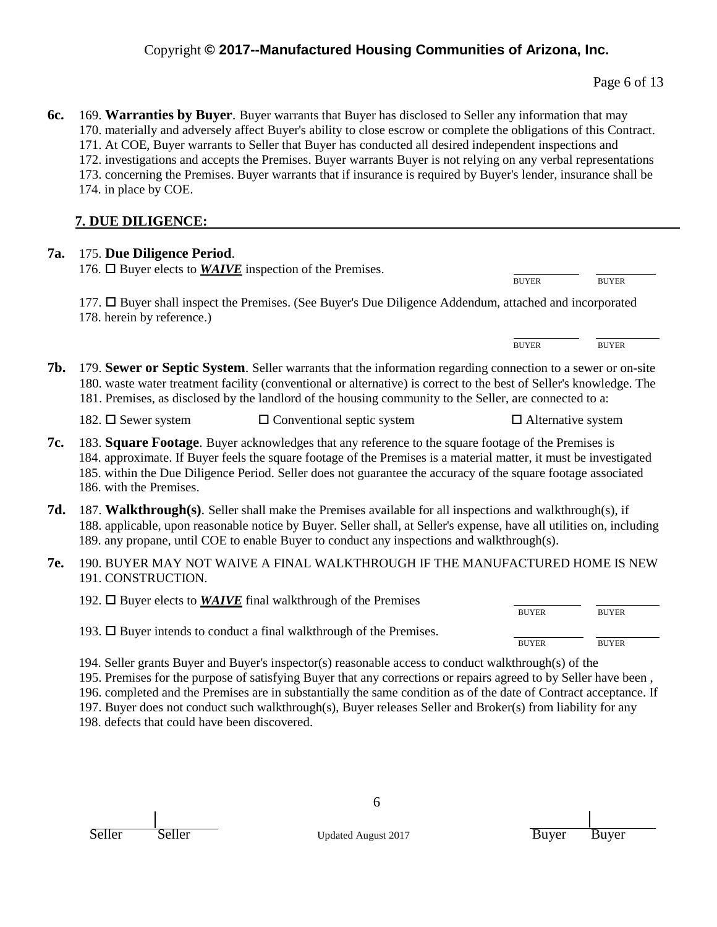| 6c. 169. Warranties by Buyer. Buyer warrants that Buyer has disclosed to Seller any information that may           |
|--------------------------------------------------------------------------------------------------------------------|
| 170. materially and adversely affect Buyer's ability to close escrow or complete the obligations of this Contract. |
| 171. At COE, Buyer warrants to Seller that Buyer has conducted all desired independent inspections and             |
| 172. investigations and accepts the Premises. Buyer warrants Buyer is not relying on any verbal representations    |
| 173. concerning the Premises. Buyer warrants that if insurance is required by Buyer's lender, insurance shall be   |
| 174. in place by COE.                                                                                              |

# **7. DUE DILIGENCE:**

| <b>7a.</b> | 175. Due Diligence Period.<br>176. $\Box$ Buyer elects to <i>WAIVE</i> inspection of the Premises.                                                                                                                                                                                                                                                                   |                           |              |
|------------|----------------------------------------------------------------------------------------------------------------------------------------------------------------------------------------------------------------------------------------------------------------------------------------------------------------------------------------------------------------------|---------------------------|--------------|
|            |                                                                                                                                                                                                                                                                                                                                                                      | <b>BUYER</b>              | <b>BUYER</b> |
|            | 177. □ Buyer shall inspect the Premises. (See Buyer's Due Diligence Addendum, attached and incorporated<br>178. herein by reference.)                                                                                                                                                                                                                                |                           |              |
|            |                                                                                                                                                                                                                                                                                                                                                                      | <b>BUYER</b>              | <b>BUYER</b> |
| 7b.        | 179. Sewer or Septic System. Seller warrants that the information regarding connection to a sewer or on-site<br>180. waste water treatment facility (conventional or alternative) is correct to the best of Seller's knowledge. The<br>181. Premises, as disclosed by the landlord of the housing community to the Seller, are connected to a:                       |                           |              |
|            | $\Box$ Conventional septic system<br>182. $\Box$ Sewer system                                                                                                                                                                                                                                                                                                        | $\Box$ Alternative system |              |
| 7c.        | 183. Square Footage. Buyer acknowledges that any reference to the square footage of the Premises is<br>184. approximate. If Buyer feels the square footage of the Premises is a material matter, it must be investigated<br>185. within the Due Diligence Period. Seller does not guarantee the accuracy of the square footage associated<br>186. with the Premises. |                           |              |
| 7d.        | 187. Walkthrough(s). Seller shall make the Premises available for all inspections and walkthrough(s), if<br>188. applicable, upon reasonable notice by Buyer. Seller shall, at Seller's expense, have all utilities on, including<br>189. any propane, until COE to enable Buyer to conduct any inspections and walkthrough(s).                                      |                           |              |
| 7e.        | 190. BUYER MAY NOT WAIVE A FINAL WALKTHROUGH IF THE MANUFACTURED HOME IS NEW<br>191. CONSTRUCTION.                                                                                                                                                                                                                                                                   |                           |              |
|            | 192. $\Box$ Buyer elects to <b>WAIVE</b> final walkthrough of the Premises                                                                                                                                                                                                                                                                                           |                           |              |
|            |                                                                                                                                                                                                                                                                                                                                                                      | <b>BUYER</b>              | <b>BUYER</b> |
|            | 193. □ Buyer intends to conduct a final walkthrough of the Premises.                                                                                                                                                                                                                                                                                                 | <b>BUYER</b>              | <b>BUYER</b> |
|            | 194. Seller grants Buyer and Buyer's inspector(s) reasonable access to conduct walkthrough(s) of the<br>195. Premises for the purpose of satisfying Buyer that any corrections or repairs agreed to by Seller have been,<br>196, completed and the Premises are in substantially the same condition as of the date of Contract acceptance. If                        |                           |              |

196. completed and the Premises are in substantially the same condition as of the date of Contract acceptance. If 197. Buyer does not conduct such walkthrough(s), Buyer releases Seller and Broker(s) from liability for any

198. defects that could have been discovered.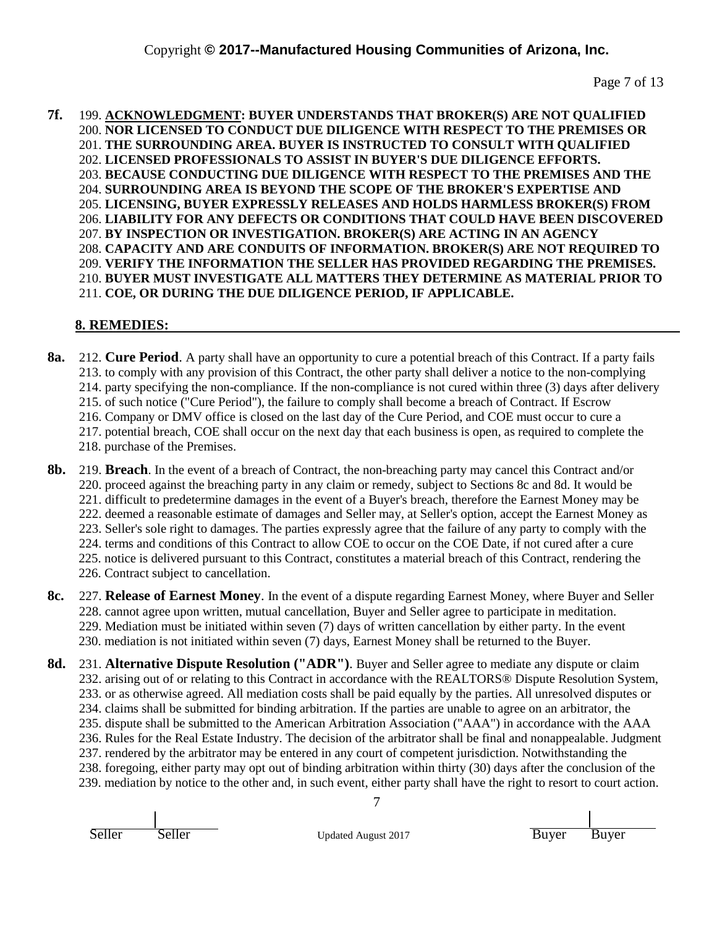#### **7f.** 199. **ACKNOWLEDGMENT: BUYER UNDERSTANDS THAT BROKER(S) ARE NOT QUALIFIED** 200. **NOR LICENSED TO CONDUCT DUE DILIGENCE WITH RESPECT TO THE PREMISES OR** 201. **THE SURROUNDING AREA. BUYER IS INSTRUCTED TO CONSULT WITH QUALIFIED** 202. **LICENSED PROFESSIONALS TO ASSIST IN BUYER'S DUE DILIGENCE EFFORTS.** 203. **BECAUSE CONDUCTING DUE DILIGENCE WITH RESPECT TO THE PREMISES AND THE** 204. **SURROUNDING AREA IS BEYOND THE SCOPE OF THE BROKER'S EXPERTISE AND** 205. **LICENSING, BUYER EXPRESSLY RELEASES AND HOLDS HARMLESS BROKER(S) FROM** 206. **LIABILITY FOR ANY DEFECTS OR CONDITIONS THAT COULD HAVE BEEN DISCOVERED** 207. **BY INSPECTION OR INVESTIGATION. BROKER(S) ARE ACTING IN AN AGENCY** 208. **CAPACITY AND ARE CONDUITS OF INFORMATION. BROKER(S) ARE NOT REQUIRED TO** 209. **VERIFY THE INFORMATION THE SELLER HAS PROVIDED REGARDING THE PREMISES.** 210. **BUYER MUST INVESTIGATE ALL MATTERS THEY DETERMINE AS MATERIAL PRIOR TO** 211. **COE, OR DURING THE DUE DILIGENCE PERIOD, IF APPLICABLE.**

# **8. REMEDIES:**

**8a.** 212. **Cure Period**. A party shall have an opportunity to cure a potential breach of this Contract. If a party fails 213. to comply with any provision of this Contract, the other party shall deliver a notice to the non-complying 214. party specifying the non-compliance. If the non-compliance is not cured within three (3) days after delivery 215. of such notice ("Cure Period"), the failure to comply shall become a breach of Contract. If Escrow 216. Company or DMV office is closed on the last day of the Cure Period, and COE must occur to cure a 217. potential breach, COE shall occur on the next day that each business is open, as required to complete the 218. purchase of the Premises.

- **8b.** 219. **Breach**. In the event of a breach of Contract, the non-breaching party may cancel this Contract and/or 220. proceed against the breaching party in any claim or remedy, subject to Sections 8c and 8d. It would be 221. difficult to predetermine damages in the event of a Buyer's breach, therefore the Earnest Money may be 222. deemed a reasonable estimate of damages and Seller may, at Seller's option, accept the Earnest Money as 223. Seller's sole right to damages. The parties expressly agree that the failure of any party to comply with the 224. terms and conditions of this Contract to allow COE to occur on the COE Date, if not cured after a cure 225. notice is delivered pursuant to this Contract, constitutes a material breach of this Contract, rendering the 226. Contract subject to cancellation.
- **8c.** 227. **Release of Earnest Money**. In the event of a dispute regarding Earnest Money, where Buyer and Seller 228. cannot agree upon written, mutual cancellation, Buyer and Seller agree to participate in meditation. 229. Mediation must be initiated within seven (7) days of written cancellation by either party. In the event 230. mediation is not initiated within seven (7) days, Earnest Money shall be returned to the Buyer.
- 7 **8d.** 231. **Alternative Dispute Resolution ("ADR")**. Buyer and Seller agree to mediate any dispute or claim 232. arising out of or relating to this Contract in accordance with the REALTORS® Dispute Resolution System, 233. or as otherwise agreed. All mediation costs shall be paid equally by the parties. All unresolved disputes or 234. claims shall be submitted for binding arbitration. If the parties are unable to agree on an arbitrator, the 235. dispute shall be submitted to the American Arbitration Association ("AAA") in accordance with the AAA 236. Rules for the Real Estate Industry. The decision of the arbitrator shall be final and nonappealable. Judgment 237. rendered by the arbitrator may be entered in any court of competent jurisdiction. Notwithstanding the 238. foregoing, either party may opt out of binding arbitration within thirty (30) days after the conclusion of the 239. mediation by notice to the other and, in such event, either party shall have the right to resort to court action.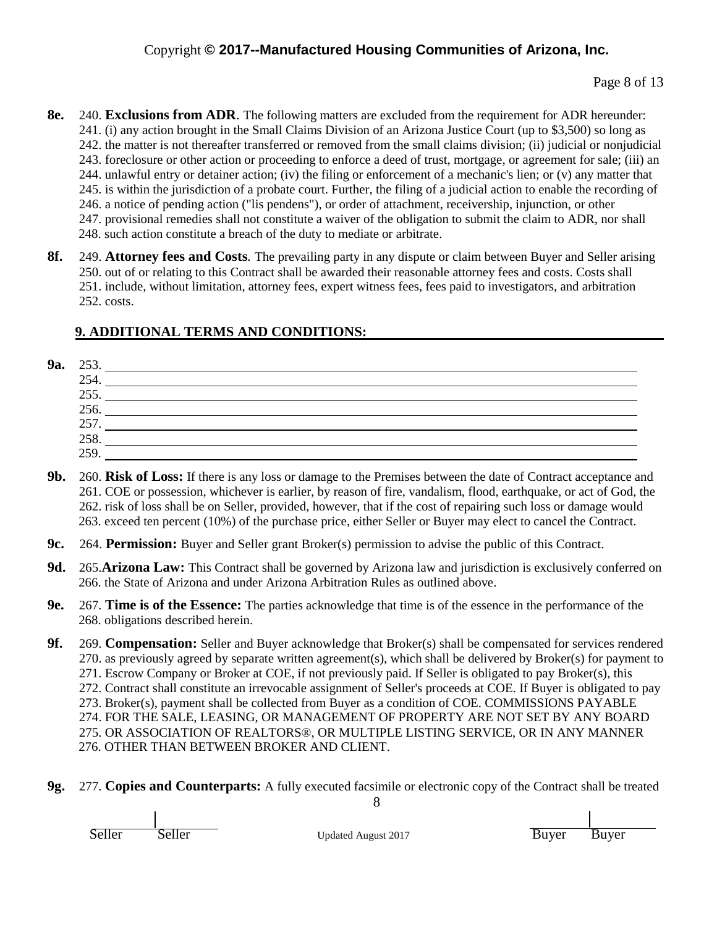- **8e.** 240. **Exclusions from ADR**. The following matters are excluded from the requirement for ADR hereunder: 241. (i) any action brought in the Small Claims Division of an Arizona Justice Court (up to \$3,500) so long as 242. the matter is not thereafter transferred or removed from the small claims division; (ii) judicial or nonjudicial 243. foreclosure or other action or proceeding to enforce a deed of trust, mortgage, or agreement for sale; (iii) an 244. unlawful entry or detainer action; (iv) the filing or enforcement of a mechanic's lien; or  $(v)$  any matter that 245. is within the jurisdiction of a probate court. Further, the filing of a judicial action to enable the recording of 246. a notice of pending action ("lis pendens"), or order of attachment, receivership, injunction, or other 247. provisional remedies shall not constitute a waiver of the obligation to submit the claim to ADR, nor shall 248. such action constitute a breach of the duty to mediate or arbitrate.
- **8f.** 249. **Attorney fees and Costs***.* The prevailing party in any dispute or claim between Buyer and Seller arising 250. out of or relating to this Contract shall be awarded their reasonable attorney fees and costs. Costs shall 251. include, without limitation, attorney fees, expert witness fees, fees paid to investigators, and arbitration 252. costs.

# **9. ADDITIONAL TERMS AND CONDITIONS:**

**9a.** 253.

| 254. |  |
|------|--|
| 255  |  |
| 256. |  |
| 257  |  |
| 258. |  |
| 259  |  |
|      |  |

- **9b.** 260. **Risk of Loss:** If there is any loss or damage to the Premises between the date of Contract acceptance and 261. COE or possession, whichever is earlier, by reason of fire, vandalism, flood, earthquake, or act of God, the 262. risk of loss shall be on Seller, provided, however, that if the cost of repairing such loss or damage would 263. exceed ten percent (10%) of the purchase price, either Seller or Buyer may elect to cancel the Contract.
- **9c.** 264. **Permission:** Buyer and Seller grant Broker(s) permission to advise the public of this Contract.
- **9d.** 265.**Arizona Law:** This Contract shall be governed by Arizona law and jurisdiction is exclusively conferred on 266. the State of Arizona and under Arizona Arbitration Rules as outlined above.
- **9e.** 267. **Time is of the Essence:** The parties acknowledge that time is of the essence in the performance of the 268. obligations described herein.
- **9f.** 269. **Compensation:** Seller and Buyer acknowledge that Broker(s) shall be compensated for services rendered 270. as previously agreed by separate written agreement(s), which shall be delivered by Broker(s) for payment to 271. Escrow Company or Broker at COE, if not previously paid. If Seller is obligated to pay Broker(s), this 272. Contract shall constitute an irrevocable assignment of Seller's proceeds at COE. If Buyer is obligated to pay 273. Broker(s), payment shall be collected from Buyer as a condition of COE. COMMISSIONS PAYABLE 274. FOR THE SALE, LEASING, OR MANAGEMENT OF PROPERTY ARE NOT SET BY ANY BOARD 275. OR ASSOCIATION OF REALTORS®, OR MULTIPLE LISTING SERVICE, OR IN ANY MANNER 276. OTHER THAN BETWEEN BROKER AND CLIENT.
- **9g.** 277. **Copies and Counterparts:** A fully executed facsimile or electronic copy of the Contract shall be treated

Seller Seller Updated August 2017 Buyer Buyer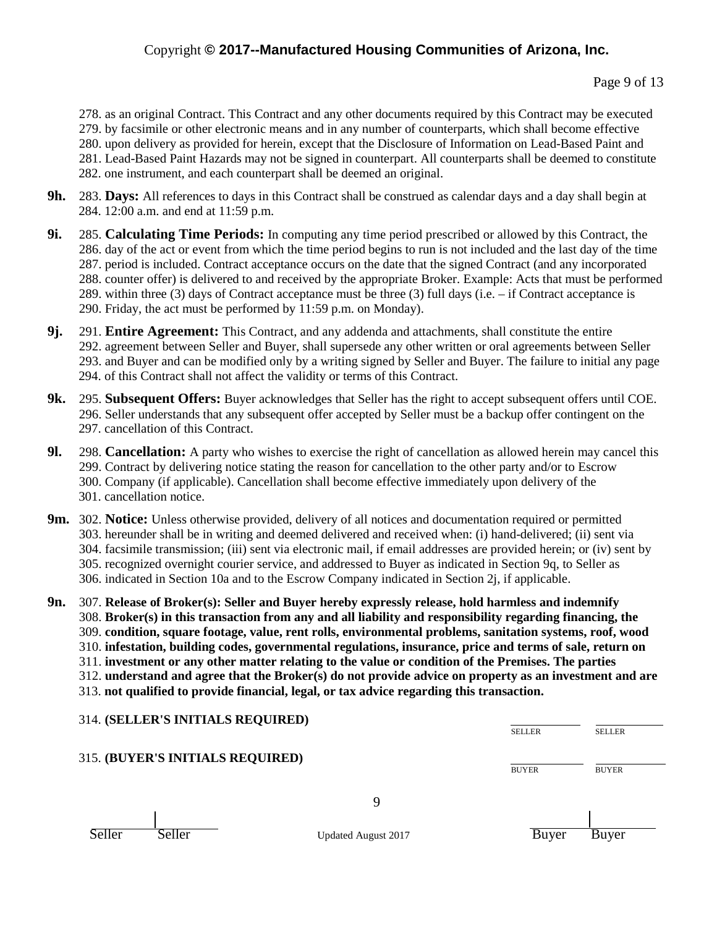Page 9 of 13

278. as an original Contract. This Contract and any other documents required by this Contract may be executed 279. by facsimile or other electronic means and in any number of counterparts, which shall become effective 280. upon delivery as provided for herein, except that the Disclosure of Information on Lead-Based Paint and 281. Lead-Based Paint Hazards may not be signed in counterpart. All counterparts shall be deemed to constitute 282. one instrument, and each counterpart shall be deemed an original.

- **9h.** 283. **Days:** All references to days in this Contract shall be construed as calendar days and a day shall begin at 284. 12:00 a.m. and end at 11:59 p.m.
- **9i.** 285. **Calculating Time Periods:** In computing any time period prescribed or allowed by this Contract, the 286. day of the act or event from which the time period begins to run is not included and the last day of the time 287. period is included. Contract acceptance occurs on the date that the signed Contract (and any incorporated 288. counter offer) is delivered to and received by the appropriate Broker. Example: Acts that must be performed 289. within three (3) days of Contract acceptance must be three (3) full days (i.e. – if Contract acceptance is 290. Friday, the act must be performed by 11:59 p.m. on Monday).
- **9j.** 291. **Entire Agreement:** This Contract, and any addenda and attachments, shall constitute the entire 292. agreement between Seller and Buyer, shall supersede any other written or oral agreements between Seller 293. and Buyer and can be modified only by a writing signed by Seller and Buyer. The failure to initial any page 294. of this Contract shall not affect the validity or terms of this Contract.
- **9k.** 295. **Subsequent Offers:** Buyer acknowledges that Seller has the right to accept subsequent offers until COE. 296. Seller understands that any subsequent offer accepted by Seller must be a backup offer contingent on the 297. cancellation of this Contract.
- **9l.** 298. **Cancellation:** A party who wishes to exercise the right of cancellation as allowed herein may cancel this 299. Contract by delivering notice stating the reason for cancellation to the other party and/or to Escrow 300. Company (if applicable). Cancellation shall become effective immediately upon delivery of the 301. cancellation notice.
- **9m.** 302. **Notice:** Unless otherwise provided, delivery of all notices and documentation required or permitted 303. hereunder shall be in writing and deemed delivered and received when: (i) hand-delivered; (ii) sent via 304. facsimile transmission; (iii) sent via electronic mail, if email addresses are provided herein; or (iv) sent by 305. recognized overnight courier service, and addressed to Buyer as indicated in Section 9q, to Seller as 306. indicated in Section 10a and to the Escrow Company indicated in Section 2j, if applicable.
- **9n.** 307. **Release of Broker(s): Seller and Buyer hereby expressly release, hold harmless and indemnify** 308. **Broker(s) in this transaction from any and all liability and responsibility regarding financing, the** 309. **condition, square footage, value, rent rolls, environmental problems, sanitation systems, roof, wood** 310. **infestation, building codes, governmental regulations, insurance, price and terms of sale, return on** 311. **investment or any other matter relating to the value or condition of the Premises. The parties** 312. **understand and agree that the Broker(s) do not provide advice on property as an investment and are** 313. **not qualified to provide financial, legal, or tax advice regarding this transaction.**

314. **(SELLER'S INITIALS REQUIRED)**

| 314. (SELLER'S INITIALS REQUIRED) |                            | <b>SELLER</b> | <b>SELLER</b> |
|-----------------------------------|----------------------------|---------------|---------------|
| 315. (BUYER'S INITIALS REQUIRED)  |                            |               |               |
|                                   |                            | <b>BUYER</b>  | <b>BUYER</b>  |
|                                   | Q                          |               |               |
| Seller<br>Seller                  | <b>Updated August 2017</b> | Buver         | Buver         |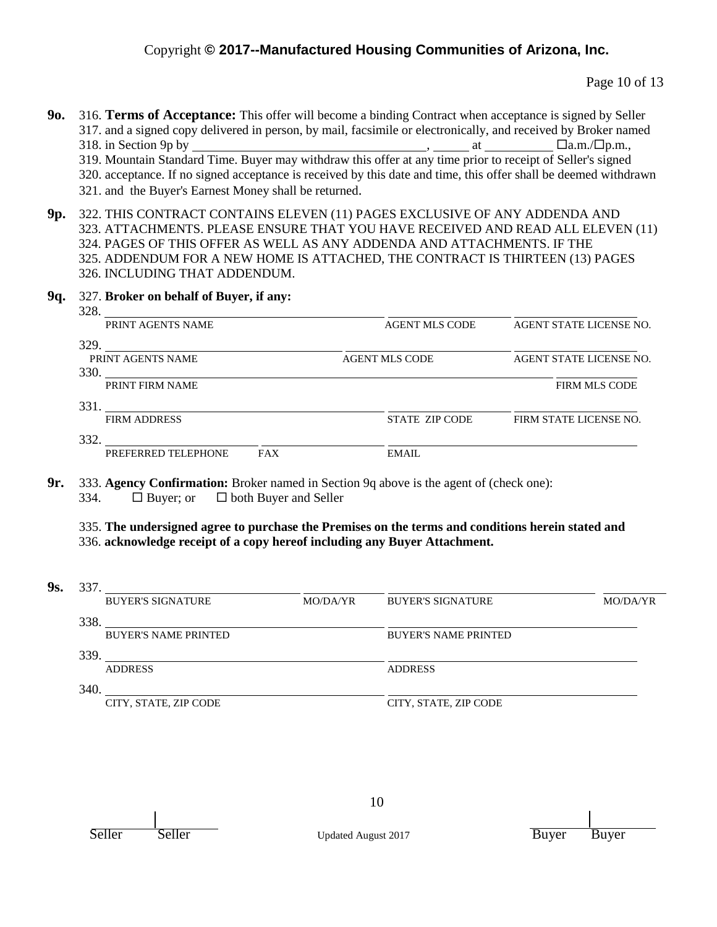Page 10 of 13

- **9o.** 316. **Terms of Acceptance:** This offer will become a binding Contract when acceptance is signed by Seller 317. and a signed copy delivered in person, by mail, facsimile or electronically, and received by Broker named 318. in Section 9p by  $\qquad \qquad$  at  $\qquad \qquad$  at  $\qquad \qquad$   $\Box$  a.m./ $\Box$  p.m., 319. Mountain Standard Time. Buyer may withdraw this offer at any time prior to receipt of Seller's signed 320. acceptance. If no signed acceptance is received by this date and time, this offer shall be deemed withdrawn 321. and the Buyer's Earnest Money shall be returned.
- **9p.** 322. THIS CONTRACT CONTAINS ELEVEN (11) PAGES EXCLUSIVE OF ANY ADDENDA AND 323. ATTACHMENTS. PLEASE ENSURE THAT YOU HAVE RECEIVED AND READ ALL ELEVEN (11) 324. PAGES OF THIS OFFER AS WELL AS ANY ADDENDA AND ATTACHMENTS. IF THE 325. ADDENDUM FOR A NEW HOME IS ATTACHED, THE CONTRACT IS THIRTEEN (13) PAGES 326. INCLUDING THAT ADDENDUM.

**9q.** 327. **Broker on behalf of Buyer, if any:**  $220$ 

| 328.<br>PRINT AGENTS NAME                                                                                                                                                                                                             |            | <b>AGENT MLS CODE</b> | AGENT STATE LICENSE NO. |
|---------------------------------------------------------------------------------------------------------------------------------------------------------------------------------------------------------------------------------------|------------|-----------------------|-------------------------|
| 329.                                                                                                                                                                                                                                  |            |                       |                         |
| PRINT AGENTS NAME                                                                                                                                                                                                                     |            | <b>AGENT MLS CODE</b> | AGENT STATE LICENSE NO. |
| 330.<br>the control of the control of the control of the control of the control of the control of the control of the control of the control of the control of the control of the control of the control of the control of the control |            |                       |                         |
| PRINT FIRM NAME                                                                                                                                                                                                                       |            |                       | <b>FIRM MLS CODE</b>    |
| 331.                                                                                                                                                                                                                                  |            |                       |                         |
| <b>FIRM ADDRESS</b>                                                                                                                                                                                                                   |            | STATE ZIP CODE        | FIRM STATE LICENSE NO.  |
| 332.                                                                                                                                                                                                                                  |            |                       |                         |
| PREFERRED TELEPHONE                                                                                                                                                                                                                   | <b>FAX</b> | EMAIL                 |                         |

**9r.** 333. **Agency Confirmation:** Broker named in Section 9q above is the agent of (check one): 334.  $\Box$  Buyer; or  $\Box$  both Buyer and Seller

335. **The undersigned agree to purchase the Premises on the terms and conditions herein stated and** 336. **acknowledge receipt of a copy hereof including any Buyer Attachment.**

**9s.** 337.

| . | .    |                             |          |                             |          |
|---|------|-----------------------------|----------|-----------------------------|----------|
|   |      | <b>BUYER'S SIGNATURE</b>    | MO/DA/YR | <b>BUYER'S SIGNATURE</b>    | MO/DA/YR |
|   | 338  |                             |          |                             |          |
|   |      | <b>BUYER'S NAME PRINTED</b> |          | <b>BUYER'S NAME PRINTED</b> |          |
|   | 339. |                             |          |                             |          |
|   |      | <b>ADDRESS</b>              |          | <b>ADDRESS</b>              |          |
|   | 340. |                             |          |                             |          |
|   |      | CITY, STATE, ZIP CODE       |          | CITY, STATE, ZIP CODE       |          |
|   |      |                             |          |                             |          |

Seller Seller Updated August 2017 Buyer Buyer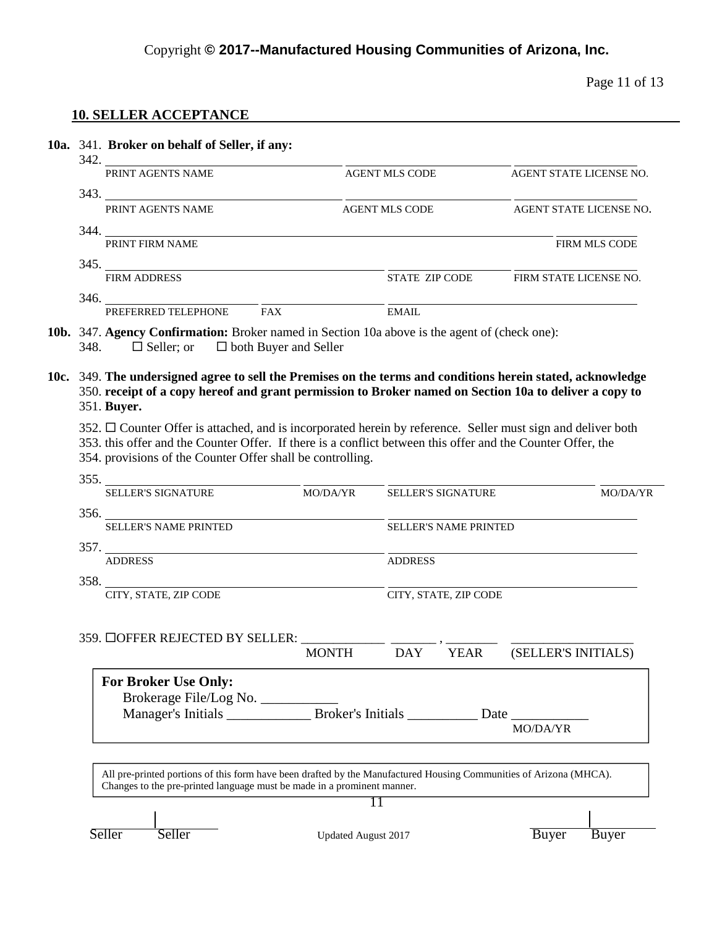Page 11 of 13

# **10. SELLER ACCEPTANCE**

| 10a. 341. Broker on behalf of Seller, if any:                                                                                                                                                 |                                                                            |                                                                                                                         |                                                                                                                                                          |                                            |                                                                                                                                                                                                                                                                                                                                                                                                                                                                                                                                                                                                                                                                                                                       |  |  |
|-----------------------------------------------------------------------------------------------------------------------------------------------------------------------------------------------|----------------------------------------------------------------------------|-------------------------------------------------------------------------------------------------------------------------|----------------------------------------------------------------------------------------------------------------------------------------------------------|--------------------------------------------|-----------------------------------------------------------------------------------------------------------------------------------------------------------------------------------------------------------------------------------------------------------------------------------------------------------------------------------------------------------------------------------------------------------------------------------------------------------------------------------------------------------------------------------------------------------------------------------------------------------------------------------------------------------------------------------------------------------------------|--|--|
| 342. PRINT AGENTS NAME                                                                                                                                                                        |                                                                            | <b>AGENT MLS CODE</b>                                                                                                   |                                                                                                                                                          | AGENT STATE LICENSE NO.                    |                                                                                                                                                                                                                                                                                                                                                                                                                                                                                                                                                                                                                                                                                                                       |  |  |
|                                                                                                                                                                                               |                                                                            |                                                                                                                         |                                                                                                                                                          |                                            |                                                                                                                                                                                                                                                                                                                                                                                                                                                                                                                                                                                                                                                                                                                       |  |  |
|                                                                                                                                                                                               |                                                                            |                                                                                                                         |                                                                                                                                                          |                                            |                                                                                                                                                                                                                                                                                                                                                                                                                                                                                                                                                                                                                                                                                                                       |  |  |
|                                                                                                                                                                                               |                                                                            |                                                                                                                         |                                                                                                                                                          |                                            | FIRM MLS CODE                                                                                                                                                                                                                                                                                                                                                                                                                                                                                                                                                                                                                                                                                                         |  |  |
|                                                                                                                                                                                               |                                                                            |                                                                                                                         |                                                                                                                                                          |                                            |                                                                                                                                                                                                                                                                                                                                                                                                                                                                                                                                                                                                                                                                                                                       |  |  |
|                                                                                                                                                                                               |                                                                            |                                                                                                                         |                                                                                                                                                          |                                            |                                                                                                                                                                                                                                                                                                                                                                                                                                                                                                                                                                                                                                                                                                                       |  |  |
|                                                                                                                                                                                               |                                                                            | <b>EMAIL</b>                                                                                                            |                                                                                                                                                          |                                            |                                                                                                                                                                                                                                                                                                                                                                                                                                                                                                                                                                                                                                                                                                                       |  |  |
| $\Box$ Seller; or<br>348.                                                                                                                                                                     |                                                                            |                                                                                                                         |                                                                                                                                                          |                                            |                                                                                                                                                                                                                                                                                                                                                                                                                                                                                                                                                                                                                                                                                                                       |  |  |
| 351. Buyer.                                                                                                                                                                                   |                                                                            |                                                                                                                         |                                                                                                                                                          |                                            |                                                                                                                                                                                                                                                                                                                                                                                                                                                                                                                                                                                                                                                                                                                       |  |  |
|                                                                                                                                                                                               |                                                                            |                                                                                                                         |                                                                                                                                                          |                                            |                                                                                                                                                                                                                                                                                                                                                                                                                                                                                                                                                                                                                                                                                                                       |  |  |
| <b>SELLER'S SIGNATURE</b>                                                                                                                                                                     |                                                                            |                                                                                                                         |                                                                                                                                                          |                                            | <b>MO/DA/YR</b>                                                                                                                                                                                                                                                                                                                                                                                                                                                                                                                                                                                                                                                                                                       |  |  |
|                                                                                                                                                                                               |                                                                            |                                                                                                                         |                                                                                                                                                          |                                            |                                                                                                                                                                                                                                                                                                                                                                                                                                                                                                                                                                                                                                                                                                                       |  |  |
|                                                                                                                                                                                               |                                                                            |                                                                                                                         |                                                                                                                                                          |                                            |                                                                                                                                                                                                                                                                                                                                                                                                                                                                                                                                                                                                                                                                                                                       |  |  |
| <b>ADDRESS</b>                                                                                                                                                                                |                                                                            | <b>ADDRESS</b>                                                                                                          |                                                                                                                                                          |                                            |                                                                                                                                                                                                                                                                                                                                                                                                                                                                                                                                                                                                                                                                                                                       |  |  |
|                                                                                                                                                                                               |                                                                            |                                                                                                                         |                                                                                                                                                          |                                            |                                                                                                                                                                                                                                                                                                                                                                                                                                                                                                                                                                                                                                                                                                                       |  |  |
|                                                                                                                                                                                               |                                                                            |                                                                                                                         |                                                                                                                                                          |                                            |                                                                                                                                                                                                                                                                                                                                                                                                                                                                                                                                                                                                                                                                                                                       |  |  |
|                                                                                                                                                                                               |                                                                            |                                                                                                                         |                                                                                                                                                          |                                            |                                                                                                                                                                                                                                                                                                                                                                                                                                                                                                                                                                                                                                                                                                                       |  |  |
|                                                                                                                                                                                               | <b>MONTH</b>                                                               | <b>DAY</b>                                                                                                              |                                                                                                                                                          |                                            |                                                                                                                                                                                                                                                                                                                                                                                                                                                                                                                                                                                                                                                                                                                       |  |  |
| <b>For Broker Use Only:</b>                                                                                                                                                                   |                                                                            |                                                                                                                         |                                                                                                                                                          |                                            |                                                                                                                                                                                                                                                                                                                                                                                                                                                                                                                                                                                                                                                                                                                       |  |  |
|                                                                                                                                                                                               |                                                                            |                                                                                                                         |                                                                                                                                                          |                                            |                                                                                                                                                                                                                                                                                                                                                                                                                                                                                                                                                                                                                                                                                                                       |  |  |
|                                                                                                                                                                                               |                                                                            |                                                                                                                         |                                                                                                                                                          |                                            |                                                                                                                                                                                                                                                                                                                                                                                                                                                                                                                                                                                                                                                                                                                       |  |  |
| All pre-printed portions of this form have been drafted by the Manufactured Housing Communities of Arizona (MHCA).<br>Changes to the pre-printed language must be made in a prominent manner. |                                                                            |                                                                                                                         |                                                                                                                                                          |                                            |                                                                                                                                                                                                                                                                                                                                                                                                                                                                                                                                                                                                                                                                                                                       |  |  |
|                                                                                                                                                                                               |                                                                            | 11                                                                                                                      |                                                                                                                                                          |                                            |                                                                                                                                                                                                                                                                                                                                                                                                                                                                                                                                                                                                                                                                                                                       |  |  |
|                                                                                                                                                                                               |                                                                            |                                                                                                                         |                                                                                                                                                          |                                            |                                                                                                                                                                                                                                                                                                                                                                                                                                                                                                                                                                                                                                                                                                                       |  |  |
|                                                                                                                                                                                               | PRINT AGENTS NAME<br><b>SELLER'S NAME PRINTED</b><br>CITY, STATE, ZIP CODE | $346.$ $\frac{1}{\text{PREFERRED} \text{TELEPHONE}}$<br>$\Box$ both Buyer and Seller<br>359. □OFFER REJECTED BY SELLER: | <b>AGENT MLS CODE</b><br>344. PRINT FIRM NAME<br>$\frac{345}{\text{FIRM ADDRESS}}$<br>354. provisions of the Counter Offer shall be controlling.<br>356. | MO/DA/YR SELLER'S SIGNATURE<br><b>YEAR</b> | AGENT STATE LICENSE NO.<br>STATE ZIP CODE FIRM STATE LICENSE NO.<br>10b. 347. Agency Confirmation: Broker named in Section 10a above is the agent of (check one):<br>10c. 349. The undersigned agree to sell the Premises on the terms and conditions herein stated, acknowledge<br>350. receipt of a copy hereof and grant permission to Broker named on Section 10a to deliver a copy to<br>352. □ Counter Offer is attached, and is incorporated herein by reference. Seller must sign and deliver both<br>353. this offer and the Counter Offer. If there is a conflict between this offer and the Counter Offer, the<br><b>SELLER'S NAME PRINTED</b><br>CITY, STATE, ZIP CODE<br>(SELLER'S INITIALS)<br>MO/DA/YR |  |  |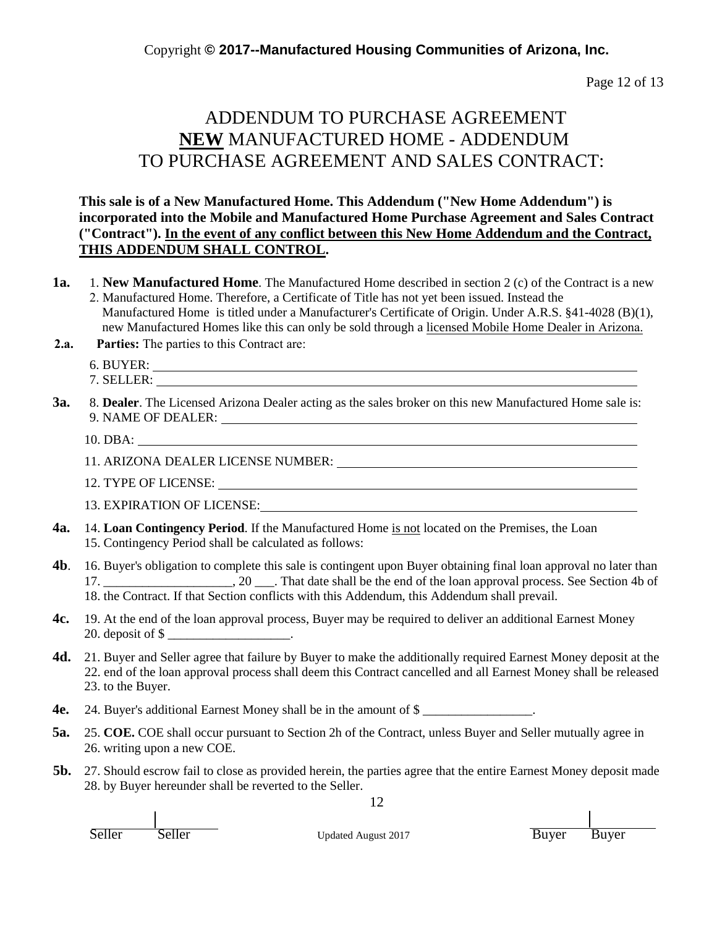Page 12 of 13

# ADDENDUM TO PURCHASE AGREEMENT **NEW** MANUFACTURED HOME - ADDENDUM TO PURCHASE AGREEMENT AND SALES CONTRACT:

### **This sale is of a New Manufactured Home. This Addendum ("New Home Addendum") is incorporated into the Mobile and Manufactured Home Purchase Agreement and Sales Contract ("Contract"). In the event of any conflict between this New Home Addendum and the Contract, THIS ADDENDUM SHALL CONTROL.**

- **1a.** 1. **New Manufactured Home**. The Manufactured Home described in section 2 (c) of the Contract is a new 2. Manufactured Home. Therefore, a Certificate of Title has not yet been issued. Instead the
	- Manufactured Home is titled under a Manufacturer's Certificate of Origin. Under A.R.S. §41-4028 (B)(1), new Manufactured Homes like this can only be sold through a licensed Mobile Home Dealer in Arizona.
- **2.a. Parties:** The parties to this Contract are:
	- 6. BUYER:
	- 7. SELLER:

**3a.** 8. **Dealer**. The Licensed Arizona Dealer acting as the sales broker on this new Manufactured Home sale is: 9. NAME OF DEALER:

10. DBA:

11. ARIZONA DEALER LICENSE NUMBER:

12. TYPE OF LICENSE:

13. EXPIRATION OF LICENSE:

- **4a.** 14. **Loan Contingency Period**. If the Manufactured Home is not located on the Premises, the Loan 15. Contingency Period shall be calculated as follows:
- **4b**. 16. Buyer's obligation to complete this sale is contingent upon Buyer obtaining final loan approval no later than 17. \_\_\_\_\_\_\_\_\_\_\_\_\_\_\_\_\_\_\_\_, 20 \_\_\_. That date shall be the end of the loan approval process. See Section 4b of 18. the Contract. If that Section conflicts with this Addendum, this Addendum shall prevail.
- **4c.** 19. At the end of the loan approval process, Buyer may be required to deliver an additional Earnest Money 20. deposit of \$
- **4d.** 21. Buyer and Seller agree that failure by Buyer to make the additionally required Earnest Money deposit at the 22. end of the loan approval process shall deem this Contract cancelled and all Earnest Money shall be released 23. to the Buyer.
- **4e.** 24. Buyer's additional Earnest Money shall be in the amount of \$ \_\_\_\_\_\_\_\_\_\_\_\_\_\_\_\_\_.
- **5a.** 25. **COE.** COE shall occur pursuant to Section 2h of the Contract, unless Buyer and Seller mutually agree in 26. writing upon a new COE.
- **5b.** 27. Should escrow fail to close as provided herein, the parties agree that the entire Earnest Money deposit made 28. by Buyer hereunder shall be reverted to the Seller.

12